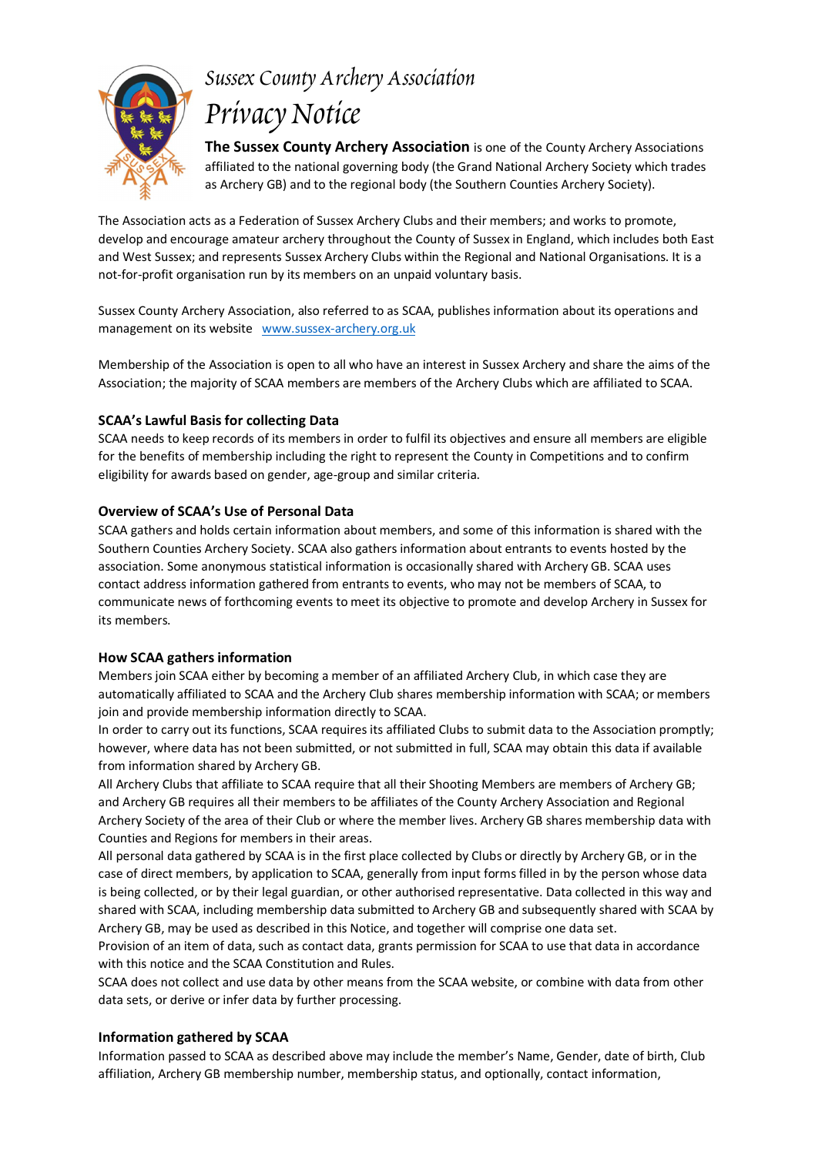

# Sussex County Archery Association Prívacy Notíce

The Sussex County Archery Association is one of the County Archery Associations affiliated to the national governing body (the Grand National Archery Society which trades as Archery GB) and to the regional body (the Southern Counties Archery Society).

The Association acts as a Federation of Sussex Archery Clubs and their members; and works to promote, develop and encourage amateur archery throughout the County of Sussex in England, which includes both East and West Sussex; and represents Sussex Archery Clubs within the Regional and National Organisations. It is a not-for-profit organisation run by its members on an unpaid voluntary basis.

Sussex County Archery Association, also referred to as SCAA, publishes information about its operations and management on its website www.sussex-archery.org.uk

Membership of the Association is open to all who have an interest in Sussex Archery and share the aims of the Association: the majority of SCAA members are members of the Archery Clubs which are affiliated to SCAA.

## **SCAA's Lawful Basis for collecting Data**

SCAA needs to keep records of its members in order to fulfil its objectives and ensure all members are eligible for the benefits of membership including the right to represent the County in Competitions and to confirm eligibility for awards based on gender, age-group and similar criteria.

#### Overview of SCAA's Use of Personal Data

SCAA gathers and holds certain information about members, and some of this information is shared with the Southern Counties Archery Society. SCAA also gathers information about entrants to events hosted by the association. Some anonymous statistical information is occasionally shared with Archery GB. SCAA uses contact address information gathered from entrants to events, who may not be members of SCAA, to communicate news of forthcoming events to meet its objective to promote and develop Archery in Sussex for its members

#### **How SCAA gathers information**

Members join SCAA either by becoming a member of an affiliated Archery Club, in which case they are automatically affiliated to SCAA and the Archery Club shares membership information with SCAA; or members join and provide membership information directly to SCAA.

In order to carry out its functions, SCAA requires its affiliated Clubs to submit data to the Association promptly; however, where data has not been submitted, or not submitted in full. SCAA may obtain this data if available from information shared by Archery GB.

All Archery Clubs that affiliate to SCAA require that all their Shooting Members are members of Archery GB; and Archery GB requires all their members to be affiliates of the County Archery Association and Regional Archery Society of the area of their Club or where the member lives. Archery GB shares membership data with Counties and Regions for members in their areas.

All personal data gathered by SCAA is in the first place collected by Clubs or directly by Archery GB, or in the case of direct members, by application to SCAA, generally from input forms filled in by the person whose data is being collected, or by their legal guardian, or other authorised representative. Data collected in this way and shared with SCAA, including membership data submitted to Archery GB and subsequently shared with SCAA by Archery GB, may be used as described in this Notice, and together will comprise one data set.

Provision of an item of data, such as contact data, grants permission for SCAA to use that data in accordance with this notice and the SCAA Constitution and Rules.

SCAA does not collect and use data by other means from the SCAA website, or combine with data from other data sets, or derive or infer data by further processing.

## **Information gathered by SCAA**

Information passed to SCAA as described above may include the member's Name, Gender, date of birth, Club affiliation. Archery GB membership number, membership status, and optionally, contact information.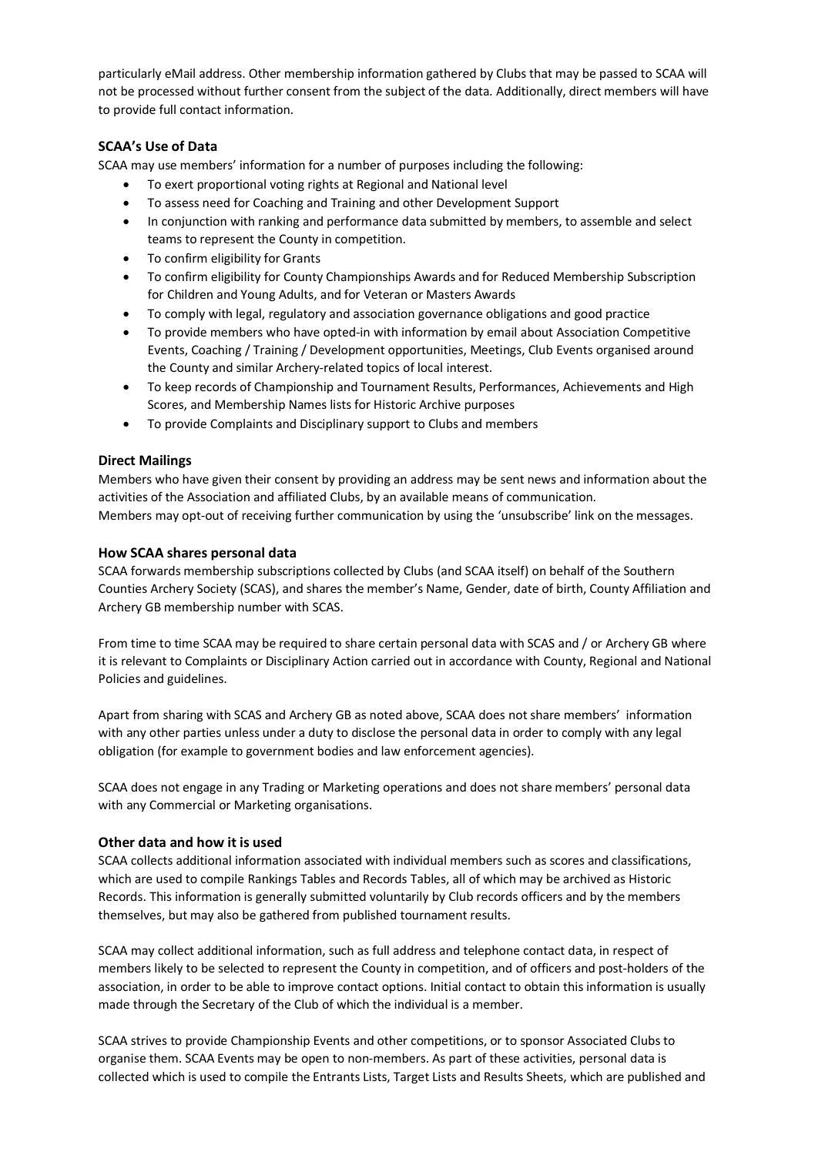particularly eMail address. Other membership information gathered by Clubs that may be passed to SCAA will not be processed without further consent from the subject of the data. Additionally, direct members will have to provide full contact information.

## **SCAA's Use of Data**

SCAA may use members' information for a number of purposes including the following:

- To exert proportional voting rights at Regional and National level
- To assess need for Coaching and Training and other Development Support
- In conjunction with ranking and performance data submitted by members, to assemble and select teams to represent the County in competition.
- To confirm eligibility for Grants
- To confirm eligibility for County Championships Awards and for Reduced Membership Subscription  $\bullet$ for Children and Young Adults, and for Veteran or Masters Awards
- To comply with legal, regulatory and association governance obligations and good practice
- To provide members who have opted-in with information by email about Association Competitive Events, Coaching / Training / Development opportunities, Meetings, Club Events organised around the County and similar Archery-related topics of local interest.
- To keep records of Championship and Tournament Results, Performances, Achievements and High Scores, and Membership Names lists for Historic Archive purposes
- To provide Complaints and Disciplinary support to Clubs and members

#### **Direct Mailings**

Members who have given their consent by providing an address may be sent news and information about the activities of the Association and affiliated Clubs, by an available means of communication. Members may opt-out of receiving further communication by using the 'unsubscribe' link on the messages.

#### How SCAA shares personal data

SCAA forwards membership subscriptions collected by Clubs (and SCAA itself) on behalf of the Southern Counties Archery Society (SCAS), and shares the member's Name, Gender, date of birth, County Affiliation and Archery GB membership number with SCAS.

From time to time SCAA may be required to share certain personal data with SCAS and / or Archery GB where it is relevant to Complaints or Disciplinary Action carried out in accordance with County, Regional and National Policies and guidelines.

Apart from sharing with SCAS and Archery GB as noted above, SCAA does not share members' information with any other parties unless under a duty to disclose the personal data in order to comply with any legal obligation (for example to government bodies and law enforcement agencies).

SCAA does not engage in any Trading or Marketing operations and does not share members' personal data with any Commercial or Marketing organisations.

#### Other data and how it is used

SCAA collects additional information associated with individual members such as scores and classifications, which are used to compile Rankings Tables and Records Tables, all of which may be archived as Historic Records. This information is generally submitted voluntarily by Club records officers and by the members themselves, but may also be gathered from published tournament results.

SCAA may collect additional information, such as full address and telephone contact data, in respect of members likely to be selected to represent the County in competition, and of officers and post-holders of the association, in order to be able to improve contact options. Initial contact to obtain this information is usually made through the Secretary of the Club of which the individual is a member.

SCAA strives to provide Championship Events and other competitions, or to sponsor Associated Clubs to organise them. SCAA Events may be open to non-members. As part of these activities, personal data is collected which is used to compile the Entrants Lists, Target Lists and Results Sheets, which are published and